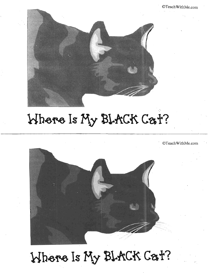

# Where Is My BLACK Cat?

. ©Teach WithMe.com '.



# Where Is My BLACK Cat?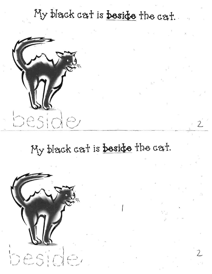## My black cat is beside the cat.



# My black cat is beside the cat.

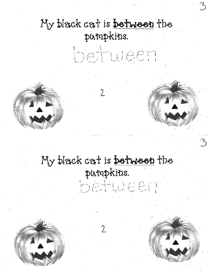### My black cat is between the pumpkins.

 $\overline{2}$ 

hetuleen



### My black cat is **between** the pampkins. hetween

 $\gamma$ 



 $\mathcal{L}_{\mathcal{A}}$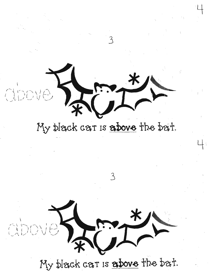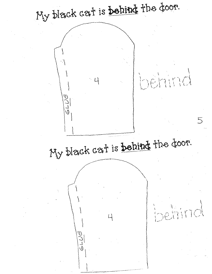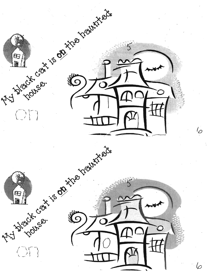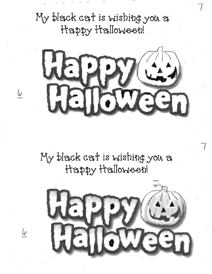My black cat is wishing you a Happy Halloween!

6

6



### My black cat is wishing you a Happy Halloween!

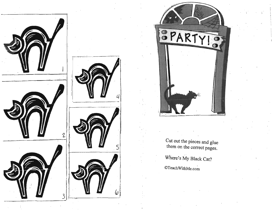





Cut out the pieces and glue them on the correct pages.

Where's My Black Cat?

 $\mathbb{O}$ TeachWithMe.com